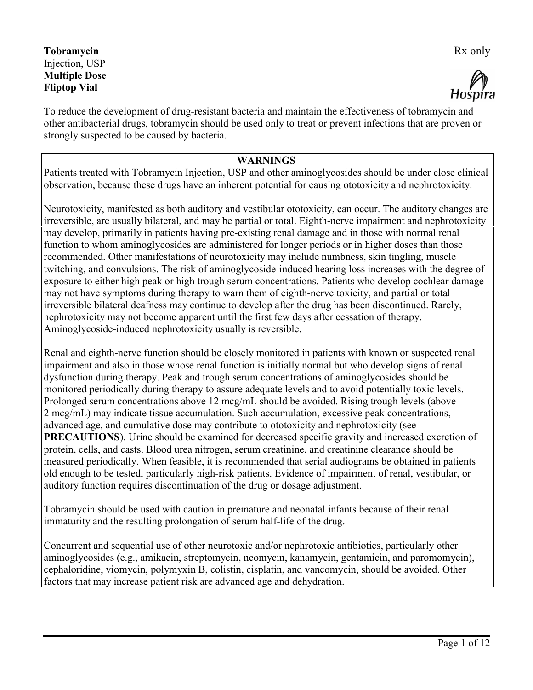### **Tobramycin** Rx only Injection, USP **Multiple Dose Fliptop Vial**



To reduce the development of drug-resistant bacteria and maintain the effectiveness of tobramycin and other antibacterial drugs, tobramycin should be used only to treat or prevent infections that are proven or strongly suspected to be caused by bacteria.

# **WARNINGS**

Patients treated with Tobramycin Injection, USP and other aminoglycosides should be under close clinical observation, because these drugs have an inherent potential for causing ototoxicity and nephrotoxicity.

Neurotoxicity, manifested as both auditory and vestibular ototoxicity, can occur. The auditory changes are irreversible, are usually bilateral, and may be partial or total. Eighth-nerve impairment and nephrotoxicity may develop, primarily in patients having pre-existing renal damage and in those with normal renal function to whom aminoglycosides are administered for longer periods or in higher doses than those recommended. Other manifestations of neurotoxicity may include numbness, skin tingling, muscle twitching, and convulsions. The risk of aminoglycoside-induced hearing loss increases with the degree of exposure to either high peak or high trough serum concentrations. Patients who develop cochlear damage may not have symptoms during therapy to warn them of eighth-nerve toxicity, and partial or total irreversible bilateral deafness may continue to develop after the drug has been discontinued. Rarely, nephrotoxicity may not become apparent until the first few days after cessation of therapy. Aminoglycoside-induced nephrotoxicity usually is reversible.

Renal and eighth-nerve function should be closely monitored in patients with known or suspected renal impairment and also in those whose renal function is initially normal but who develop signs of renal dysfunction during therapy. Peak and trough serum concentrations of aminoglycosides should be monitored periodically during therapy to assure adequate levels and to avoid potentially toxic levels. Prolonged serum concentrations above 12 mcg/mL should be avoided. Rising trough levels (above 2 mcg/mL) may indicate tissue accumulation. Such accumulation, excessive peak concentrations, advanced age, and cumulative dose may contribute to ototoxicity and nephrotoxicity (see **PRECAUTIONS**). Urine should be examined for decreased specific gravity and increased excretion of protein, cells, and casts. Blood urea nitrogen, serum creatinine, and creatinine clearance should be measured periodically. When feasible, it is recommended that serial audiograms be obtained in patients old enough to be tested, particularly high-risk patients. Evidence of impairment of renal, vestibular, or auditory function requires discontinuation of the drug or dosage adjustment.

Tobramycin should be used with caution in premature and neonatal infants because of their renal immaturity and the resulting prolongation of serum half-life of the drug.

Concurrent and sequential use of other neurotoxic and/or nephrotoxic antibiotics, particularly other aminoglycosides (e.g., amikacin, streptomycin, neomycin, kanamycin, gentamicin, and paromomycin), cephaloridine, viomycin, polymyxin B, colistin, cisplatin, and vancomycin, should be avoided. Other factors that may increase patient risk are advanced age and dehydration.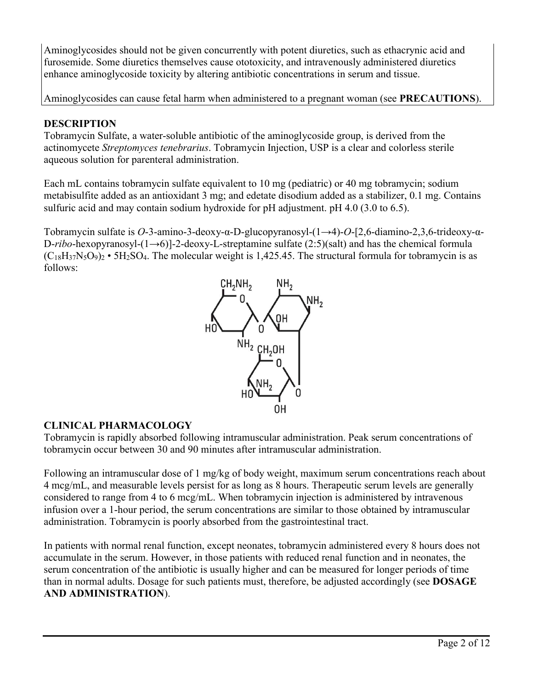Aminoglycosides should not be given concurrently with potent diuretics, such as ethacrynic acid and furosemide. Some diuretics themselves cause ototoxicity, and intravenously administered diuretics enhance aminoglycoside toxicity by altering antibiotic concentrations in serum and tissue.

Aminoglycosides can cause fetal harm when administered to a pregnant woman (see **PRECAUTIONS**).

# **DESCRIPTION**

Tobramycin Sulfate, a water-soluble antibiotic of the aminoglycoside group, is derived from the actinomycete *Streptomyces tenebrarius*. Tobramycin Injection, USP is a clear and colorless sterile aqueous solution for parenteral administration.

Each mL contains tobramycin sulfate equivalent to 10 mg (pediatric) or 40 mg tobramycin; sodium metabisulfite added as an antioxidant 3 mg; and edetate disodium added as a stabilizer, 0.1 mg. Contains sulfuric acid and may contain sodium hydroxide for pH adjustment. pH 4.0 (3.0 to 6.5).

Tobramycin sulfate is *O*-3-amino-3-deoxy-α-D-glucopyranosyl-(1→4)-*O*-[2,6-diamino-2,3,6-trideoxy-α-D-*ribo*-hexopyranosyl-(1→6)]-2-deoxy-L-streptamine sulfate (2:5)(salt) and has the chemical formula  $(C_{18}H_{37}N_5O_9)_2$  • 5H<sub>2</sub>SO<sub>4</sub>. The molecular weight is 1,425.45. The structural formula for tobramycin is as follows:



# **CLINICAL PHARMACOLOGY**

Tobramycin is rapidly absorbed following intramuscular administration. Peak serum concentrations of tobramycin occur between 30 and 90 minutes after intramuscular administration.

Following an intramuscular dose of 1 mg/kg of body weight, maximum serum concentrations reach about 4 mcg/mL, and measurable levels persist for as long as 8 hours. Therapeutic serum levels are generally considered to range from 4 to 6 mcg/mL. When tobramycin injection is administered by intravenous infusion over a 1-hour period, the serum concentrations are similar to those obtained by intramuscular administration. Tobramycin is poorly absorbed from the gastrointestinal tract.

In patients with normal renal function, except neonates, tobramycin administered every 8 hours does not accumulate in the serum. However, in those patients with reduced renal function and in neonates, the serum concentration of the antibiotic is usually higher and can be measured for longer periods of time than in normal adults. Dosage for such patients must, therefore, be adjusted accordingly (see **DOSAGE AND ADMINISTRATION**).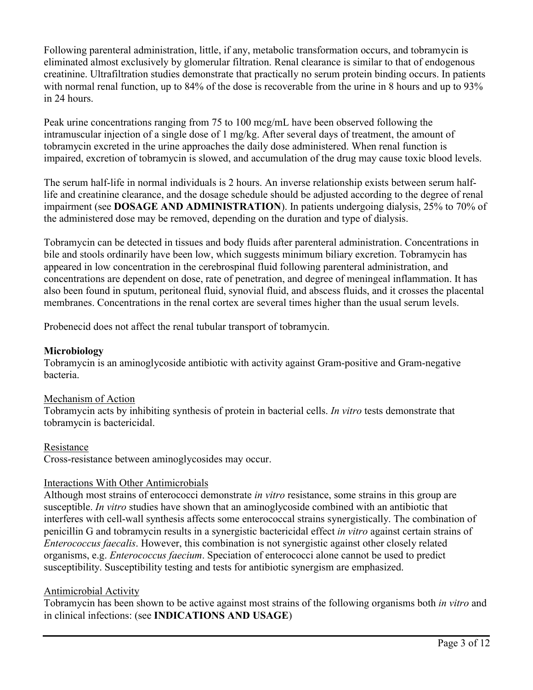Following parenteral administration, little, if any, metabolic transformation occurs, and tobramycin is eliminated almost exclusively by glomerular filtration. Renal clearance is similar to that of endogenous creatinine. Ultrafiltration studies demonstrate that practically no serum protein binding occurs. In patients with normal renal function, up to 84% of the dose is recoverable from the urine in 8 hours and up to 93% in 24 hours.

Peak urine concentrations ranging from 75 to 100 mcg/mL have been observed following the intramuscular injection of a single dose of 1 mg/kg. After several days of treatment, the amount of tobramycin excreted in the urine approaches the daily dose administered. When renal function is impaired, excretion of tobramycin is slowed, and accumulation of the drug may cause toxic blood levels.

The serum half-life in normal individuals is 2 hours. An inverse relationship exists between serum halflife and creatinine clearance, and the dosage schedule should be adjusted according to the degree of renal impairment (see **DOSAGE AND ADMINISTRATION**). In patients undergoing dialysis, 25% to 70% of the administered dose may be removed, depending on the duration and type of dialysis.

Tobramycin can be detected in tissues and body fluids after parenteral administration. Concentrations in bile and stools ordinarily have been low, which suggests minimum biliary excretion. Tobramycin has appeared in low concentration in the cerebrospinal fluid following parenteral administration, and concentrations are dependent on dose, rate of penetration, and degree of meningeal inflammation. It has also been found in sputum, peritoneal fluid, synovial fluid, and abscess fluids, and it crosses the placental membranes. Concentrations in the renal cortex are several times higher than the usual serum levels.

Probenecid does not affect the renal tubular transport of tobramycin.

### **Microbiology**

Tobramycin is an aminoglycoside antibiotic with activity against Gram-positive and Gram-negative bacteria.

### Mechanism of Action

Tobramycin acts by inhibiting synthesis of protein in bacterial cells. *In vitro* tests demonstrate that tobramycin is bactericidal.

### Resistance

Cross-resistance between aminoglycosides may occur.

### Interactions With Other Antimicrobials

Although most strains of enterococci demonstrate *in vitro* resistance, some strains in this group are susceptible. *In vitro* studies have shown that an aminoglycoside combined with an antibiotic that interferes with cell-wall synthesis affects some enterococcal strains synergistically. The combination of penicillin G and tobramycin results in a synergistic bactericidal effect *in vitro* against certain strains of *Enterococcus faecalis*. However, this combination is not synergistic against other closely related organisms, e.g. *Enterococcus faecium*. Speciation of enterococci alone cannot be used to predict susceptibility. Susceptibility testing and tests for antibiotic synergism are emphasized.

### Antimicrobial Activity

Tobramycin has been shown to be active against most strains of the following organisms both *in vitro* and in clinical infections: (see **INDICATIONS AND USAGE**)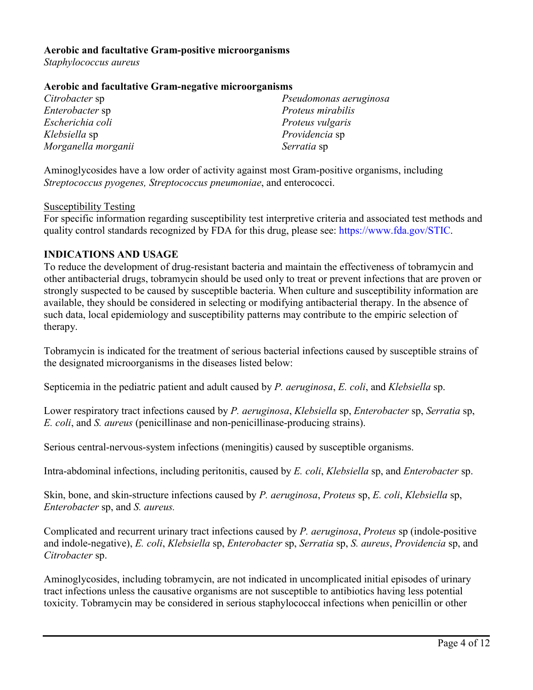### **Aerobic and facultative Gram-positive microorganisms**

*Staphylococcus aureus*

### **Aerobic and facultative Gram-negative microorganisms**

| Pseudomonas aeruginosa |
|------------------------|
| Proteus mirabilis      |
| Proteus vulgaris       |
| Providencia sp         |
| Serratia sp            |
|                        |

Aminoglycosides have a low order of activity against most Gram-positive organisms, including *Streptococcus pyogenes, Streptococcus pneumoniae*, and enterococci.

#### Susceptibility Testing

For specific information regarding susceptibility test interpretive criteria and associated test methods and quality control standards recognized by FDA for this drug, please see: [https://www.fda.gov/STIC.](https://www.fda.gov/STIC)

### **INDICATIONS AND USAGE**

To reduce the development of drug-resistant bacteria and maintain the effectiveness of tobramycin and other antibacterial drugs, tobramycin should be used only to treat or prevent infections that are proven or strongly suspected to be caused by susceptible bacteria. When culture and susceptibility information are available, they should be considered in selecting or modifying antibacterial therapy. In the absence of such data, local epidemiology and susceptibility patterns may contribute to the empiric selection of therapy.

Tobramycin is indicated for the treatment of serious bacterial infections caused by susceptible strains of the designated microorganisms in the diseases listed below:

Septicemia in the pediatric patient and adult caused by *P. aeruginosa*, *E. coli*, and *Klebsiella* sp.

Lower respiratory tract infections caused by *P. aeruginosa*, *Klebsiella* sp, *Enterobacter* sp, *Serratia* sp, *E. coli*, and *S. aureus* (penicillinase and non-penicillinase-producing strains).

Serious central-nervous-system infections (meningitis) caused by susceptible organisms.

Intra-abdominal infections, including peritonitis, caused by *E. coli*, *Klebsiella* sp, and *Enterobacter* sp.

Skin, bone, and skin-structure infections caused by *P. aeruginosa*, *Proteus* sp, *E. coli*, *Klebsiella* sp, *Enterobacter* sp, and *S. aureus.*

Complicated and recurrent urinary tract infections caused by *P. aeruginosa*, *Proteus* sp (indole-positive and indole-negative), *E. coli*, *Klebsiella* sp, *Enterobacter* sp, *Serratia* sp, *S. aureus*, *Providencia* sp, and *Citrobacter* sp.

Aminoglycosides, including tobramycin, are not indicated in uncomplicated initial episodes of urinary tract infections unless the causative organisms are not susceptible to antibiotics having less potential toxicity. Tobramycin may be considered in serious staphylococcal infections when penicillin or other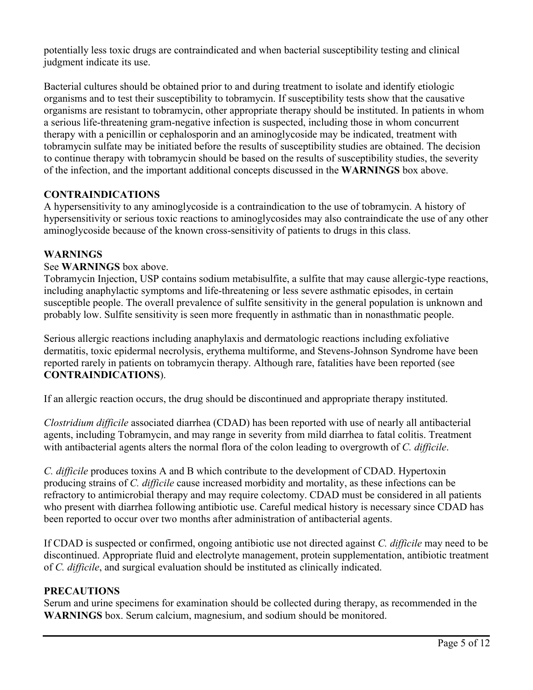potentially less toxic drugs are contraindicated and when bacterial susceptibility testing and clinical judgment indicate its use.

Bacterial cultures should be obtained prior to and during treatment to isolate and identify etiologic organisms and to test their susceptibility to tobramycin. If susceptibility tests show that the causative organisms are resistant to tobramycin, other appropriate therapy should be instituted. In patients in whom a serious life-threatening gram-negative infection is suspected, including those in whom concurrent therapy with a penicillin or cephalosporin and an aminoglycoside may be indicated, treatment with tobramycin sulfate may be initiated before the results of susceptibility studies are obtained. The decision to continue therapy with tobramycin should be based on the results of susceptibility studies, the severity of the infection, and the important additional concepts discussed in the **WARNINGS** box above.

# **CONTRAINDICATIONS**

A hypersensitivity to any aminoglycoside is a contraindication to the use of tobramycin. A history of hypersensitivity or serious toxic reactions to aminoglycosides may also contraindicate the use of any other aminoglycoside because of the known cross-sensitivity of patients to drugs in this class.

# **WARNINGS**

### See **WARNINGS** box above.

Tobramycin Injection, USP contains sodium metabisulfite, a sulfite that may cause allergic-type reactions, including anaphylactic symptoms and life-threatening or less severe asthmatic episodes, in certain susceptible people. The overall prevalence of sulfite sensitivity in the general population is unknown and probably low. Sulfite sensitivity is seen more frequently in asthmatic than in nonasthmatic people.

Serious allergic reactions including anaphylaxis and dermatologic reactions including exfoliative dermatitis, toxic epidermal necrolysis, erythema multiforme, and Stevens-Johnson Syndrome have been reported rarely in patients on tobramycin therapy. Although rare, fatalities have been reported (see **CONTRAINDICATIONS**).

If an allergic reaction occurs, the drug should be discontinued and appropriate therapy instituted.

*Clostridium difficile* associated diarrhea (CDAD) has been reported with use of nearly all antibacterial agents, including Tobramycin, and may range in severity from mild diarrhea to fatal colitis. Treatment with antibacterial agents alters the normal flora of the colon leading to overgrowth of *C. difficile*.

*C. difficile* produces toxins A and B which contribute to the development of CDAD. Hypertoxin producing strains of *C. difficile* cause increased morbidity and mortality, as these infections can be refractory to antimicrobial therapy and may require colectomy. CDAD must be considered in all patients who present with diarrhea following antibiotic use. Careful medical history is necessary since CDAD has been reported to occur over two months after administration of antibacterial agents.

If CDAD is suspected or confirmed, ongoing antibiotic use not directed against *C. difficile* may need to be discontinued. Appropriate fluid and electrolyte management, protein supplementation, antibiotic treatment of *C. difficile*, and surgical evaluation should be instituted as clinically indicated.

## **PRECAUTIONS**

Serum and urine specimens for examination should be collected during therapy, as recommended in the **WARNINGS** box. Serum calcium, magnesium, and sodium should be monitored.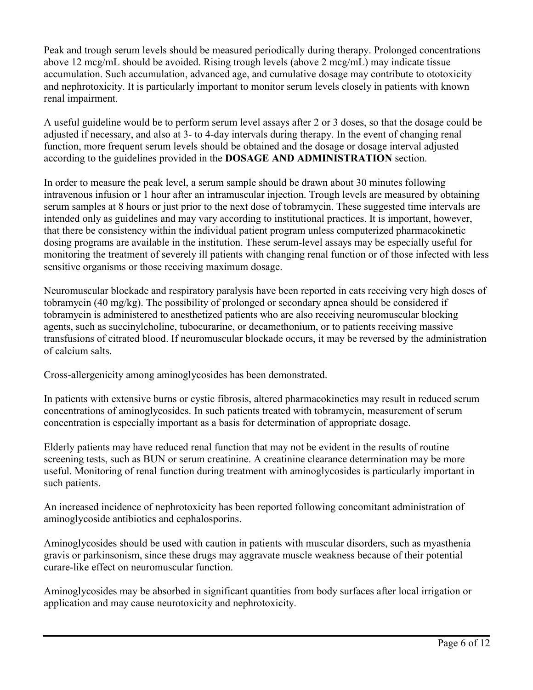Peak and trough serum levels should be measured periodically during therapy. Prolonged concentrations above 12 mcg/mL should be avoided. Rising trough levels (above 2 mcg/mL) may indicate tissue accumulation. Such accumulation, advanced age, and cumulative dosage may contribute to ototoxicity and nephrotoxicity. It is particularly important to monitor serum levels closely in patients with known renal impairment.

A useful guideline would be to perform serum level assays after 2 or 3 doses, so that the dosage could be adjusted if necessary, and also at 3- to 4-day intervals during therapy. In the event of changing renal function, more frequent serum levels should be obtained and the dosage or dosage interval adjusted according to the guidelines provided in the **DOSAGE AND ADMINISTRATION** section.

In order to measure the peak level, a serum sample should be drawn about 30 minutes following intravenous infusion or 1 hour after an intramuscular injection. Trough levels are measured by obtaining serum samples at 8 hours or just prior to the next dose of tobramycin. These suggested time intervals are intended only as guidelines and may vary according to institutional practices. It is important, however, that there be consistency within the individual patient program unless computerized pharmacokinetic dosing programs are available in the institution. These serum-level assays may be especially useful for monitoring the treatment of severely ill patients with changing renal function or of those infected with less sensitive organisms or those receiving maximum dosage.

Neuromuscular blockade and respiratory paralysis have been reported in cats receiving very high doses of tobramycin (40 mg/kg). The possibility of prolonged or secondary apnea should be considered if tobramycin is administered to anesthetized patients who are also receiving neuromuscular blocking agents, such as succinylcholine, tubocurarine, or decamethonium, or to patients receiving massive transfusions of citrated blood. If neuromuscular blockade occurs, it may be reversed by the administration of calcium salts.

Cross-allergenicity among aminoglycosides has been demonstrated.

In patients with extensive burns or cystic fibrosis, altered pharmacokinetics may result in reduced serum concentrations of aminoglycosides. In such patients treated with tobramycin, measurement of serum concentration is especially important as a basis for determination of appropriate dosage.

Elderly patients may have reduced renal function that may not be evident in the results of routine screening tests, such as BUN or serum creatinine. A creatinine clearance determination may be more useful. Monitoring of renal function during treatment with aminoglycosides is particularly important in such patients.

An increased incidence of nephrotoxicity has been reported following concomitant administration of aminoglycoside antibiotics and cephalosporins.

Aminoglycosides should be used with caution in patients with muscular disorders, such as myasthenia gravis or parkinsonism, since these drugs may aggravate muscle weakness because of their potential curare-like effect on neuromuscular function.

Aminoglycosides may be absorbed in significant quantities from body surfaces after local irrigation or application and may cause neurotoxicity and nephrotoxicity.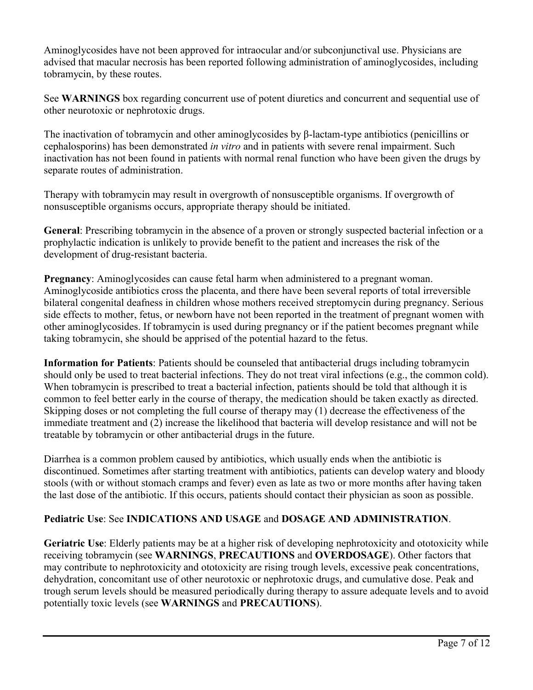Aminoglycosides have not been approved for intraocular and/or subconjunctival use. Physicians are advised that macular necrosis has been reported following administration of aminoglycosides, including tobramycin, by these routes.

See **WARNINGS** box regarding concurrent use of potent diuretics and concurrent and sequential use of other neurotoxic or nephrotoxic drugs.

The inactivation of tobramycin and other aminoglycosides by β-lactam-type antibiotics (penicillins or cephalosporins) has been demonstrated *in vitro* and in patients with severe renal impairment. Such inactivation has not been found in patients with normal renal function who have been given the drugs by separate routes of administration.

Therapy with tobramycin may result in overgrowth of nonsusceptible organisms. If overgrowth of nonsusceptible organisms occurs, appropriate therapy should be initiated.

**General**: Prescribing tobramycin in the absence of a proven or strongly suspected bacterial infection or a prophylactic indication is unlikely to provide benefit to the patient and increases the risk of the development of drug-resistant bacteria.

**Pregnancy**: Aminoglycosides can cause fetal harm when administered to a pregnant woman. Aminoglycoside antibiotics cross the placenta, and there have been several reports of total irreversible bilateral congenital deafness in children whose mothers received streptomycin during pregnancy. Serious side effects to mother, fetus, or newborn have not been reported in the treatment of pregnant women with other aminoglycosides. If tobramycin is used during pregnancy or if the patient becomes pregnant while taking tobramycin, she should be apprised of the potential hazard to the fetus.

**Information for Patients**: Patients should be counseled that antibacterial drugs including tobramycin should only be used to treat bacterial infections. They do not treat viral infections (e.g., the common cold). When tobramycin is prescribed to treat a bacterial infection, patients should be told that although it is common to feel better early in the course of therapy, the medication should be taken exactly as directed. Skipping doses or not completing the full course of therapy may (1) decrease the effectiveness of the immediate treatment and (2) increase the likelihood that bacteria will develop resistance and will not be treatable by tobramycin or other antibacterial drugs in the future.

Diarrhea is a common problem caused by antibiotics, which usually ends when the antibiotic is discontinued. Sometimes after starting treatment with antibiotics, patients can develop watery and bloody stools (with or without stomach cramps and fever) even as late as two or more months after having taken the last dose of the antibiotic. If this occurs, patients should contact their physician as soon as possible.

# **Pediatric Use**: See **INDICATIONS AND USAGE** and **DOSAGE AND ADMINISTRATION**.

**Geriatric Use**: Elderly patients may be at a higher risk of developing nephrotoxicity and ototoxicity while receiving tobramycin (see **WARNINGS**, **PRECAUTIONS** and **OVERDOSAGE**). Other factors that may contribute to nephrotoxicity and ototoxicity are rising trough levels, excessive peak concentrations, dehydration, concomitant use of other neurotoxic or nephrotoxic drugs, and cumulative dose. Peak and trough serum levels should be measured periodically during therapy to assure adequate levels and to avoid potentially toxic levels (see **WARNINGS** and **PRECAUTIONS**).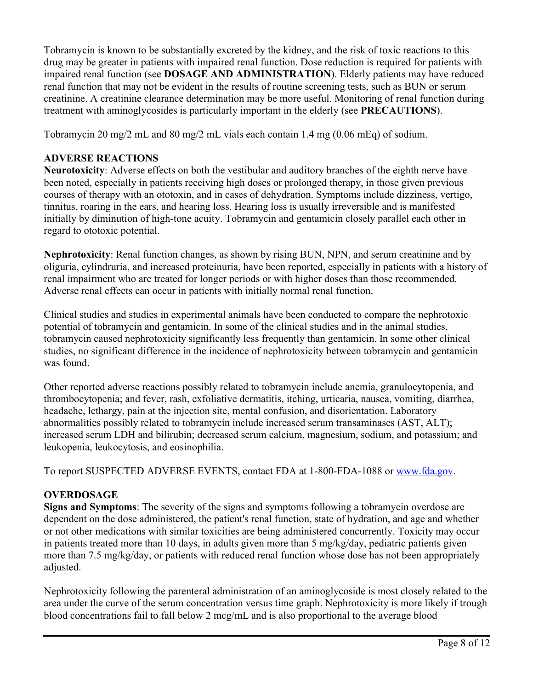Tobramycin is known to be substantially excreted by the kidney, and the risk of toxic reactions to this drug may be greater in patients with impaired renal function. Dose reduction is required for patients with impaired renal function (see **DOSAGE AND ADMINISTRATION**). Elderly patients may have reduced renal function that may not be evident in the results of routine screening tests, such as BUN or serum creatinine. A creatinine clearance determination may be more useful. Monitoring of renal function during treatment with aminoglycosides is particularly important in the elderly (see **PRECAUTIONS**).

Tobramycin 20 mg/2 mL and 80 mg/2 mL vials each contain 1.4 mg (0.06 mEq) of sodium.

## **ADVERSE REACTIONS**

**Neurotoxicity**: Adverse effects on both the vestibular and auditory branches of the eighth nerve have been noted, especially in patients receiving high doses or prolonged therapy, in those given previous courses of therapy with an ototoxin, and in cases of dehydration. Symptoms include dizziness, vertigo, tinnitus, roaring in the ears, and hearing loss. Hearing loss is usually irreversible and is manifested initially by diminution of high-tone acuity. Tobramycin and gentamicin closely parallel each other in regard to ototoxic potential.

**Nephrotoxicity**: Renal function changes, as shown by rising BUN, NPN, and serum creatinine and by oliguria, cylindruria, and increased proteinuria, have been reported, especially in patients with a history of renal impairment who are treated for longer periods or with higher doses than those recommended. Adverse renal effects can occur in patients with initially normal renal function.

Clinical studies and studies in experimental animals have been conducted to compare the nephrotoxic potential of tobramycin and gentamicin. In some of the clinical studies and in the animal studies, tobramycin caused nephrotoxicity significantly less frequently than gentamicin. In some other clinical studies, no significant difference in the incidence of nephrotoxicity between tobramycin and gentamicin was found.

Other reported adverse reactions possibly related to tobramycin include anemia, granulocytopenia, and thrombocytopenia; and fever, rash, exfoliative dermatitis, itching, urticaria, nausea, vomiting, diarrhea, headache, lethargy, pain at the injection site, mental confusion, and disorientation. Laboratory abnormalities possibly related to tobramycin include increased serum transaminases (AST, ALT); increased serum LDH and bilirubin; decreased serum calcium, magnesium, sodium, and potassium; and leukopenia, leukocytosis, and eosinophilia.

To report SUSPECTED ADVERSE EVENTS, contact FDA at 1-800-FDA-1088 or [www.fda.gov.](http://www.fda.gov/)

## **OVERDOSAGE**

**Signs and Symptoms**: The severity of the signs and symptoms following a tobramycin overdose are dependent on the dose administered, the patient's renal function, state of hydration, and age and whether or not other medications with similar toxicities are being administered concurrently. Toxicity may occur in patients treated more than 10 days, in adults given more than 5 mg/kg/day, pediatric patients given more than 7.5 mg/kg/day, or patients with reduced renal function whose dose has not been appropriately adjusted.

Nephrotoxicity following the parenteral administration of an aminoglycoside is most closely related to the area under the curve of the serum concentration versus time graph. Nephrotoxicity is more likely if trough blood concentrations fail to fall below 2 mcg/mL and is also proportional to the average blood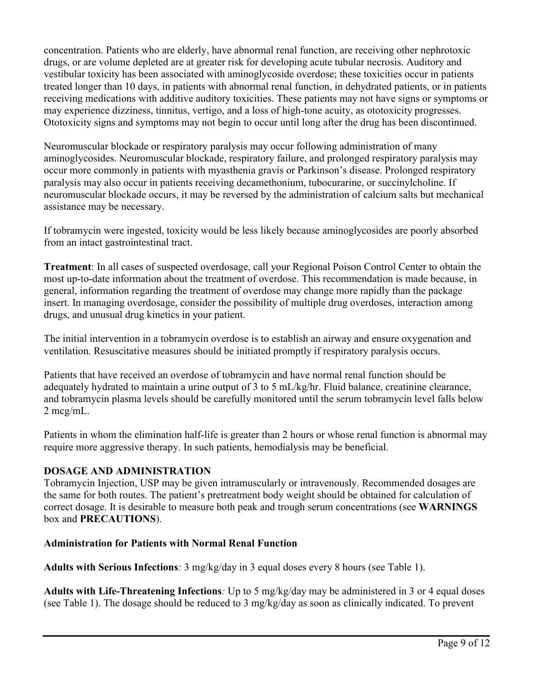concentration. Patients who are elderly, have abnormal renal function, are receiving other nephrotoxic drugs, or are volume depleted are at greater risk for developing acute tubular necrosis. Auditory and vestibular toxicity has been associated with aminoglycoside overdose; these toxicities occur in patients treated longer than 10 days, in patients with abnormal renal function, in dehydrated patients, or in patients receiving medications with additive auditory toxicities. These patients may not have signs or symptoms or may experience dizziness, tinnitus, vertigo, and a loss of high-tone acuity, as ototoxicity progresses. Ototoxicity signs and symptoms may not begin to occur until long after the drug has been discontinued.

Neuromuscular blockade or respiratory paralysis may occur following administration of many aminoglycosides. Neuromuscular blockade, respiratory failure, and prolonged respiratory paralysis may occur more commonly in patients with myasthenia gravis or Parkinson's disease. Prolonged respiratory paralysis may also occur in patients receiving decamethonium, tubocurarine, or succinylcholine. If neuromuscular blockade occurs, it may be reversed by the administration of calcium salts but mechanical assistance may be necessary.

If tobramycin were ingested, toxicity would be less likely because aminoglycosides are poorly absorbed from an intact gastrointestinal tract.

**Treatment**: In all cases of suspected overdosage, call your Regional Poison Control Center to obtain the most up-to-date information about the treatment of overdose. This recommendation is made because, in general, information regarding the treatment of overdose may change more rapidly than the package insert. In managing overdosage, consider the possibility of multiple drug overdoses, interaction among drugs, and unusual drug kinetics in your patient.

The initial intervention in a tobramycin overdose is to establish an airway and ensure oxygenation and ventilation. Resuscitative measures should be initiated promptly if respiratory paralysis occurs.

Patients that have received an overdose of tobramycin and have normal renal function should be adequately hydrated to maintain a urine output of 3 to 5 mL/kg/hr. Fluid balance, creatinine clearance, and tobramycin plasma levels should be carefully monitored until the serum tobramycin level falls below 2 mcg/mL.

Patients in whom the elimination half-life is greater than 2 hours or whose renal function is abnormal may require more aggressive therapy. In such patients, hemodialysis may be beneficial.

# **DOSAGE AND ADMINISTRATION**

Tobramycin Injection, USP may be given intramuscularly or intravenously. Recommended dosages are the same for both routes. The patient's pretreatment body weight should be obtained for calculation of correct dosage. It is desirable to measure both peak and trough serum concentrations (see **WARNINGS** box and **PRECAUTIONS**).

# **Administration for Patients with Normal Renal Function**

**Adults with Serious Infections***:* 3 mg/kg/day in 3 equal doses every 8 hours (see Table 1).

**Adults with Life-Threatening Infections***:* Up to 5 mg/kg/day may be administered in 3 or 4 equal doses (see Table 1). The dosage should be reduced to 3 mg/kg/day as soon as clinically indicated. To prevent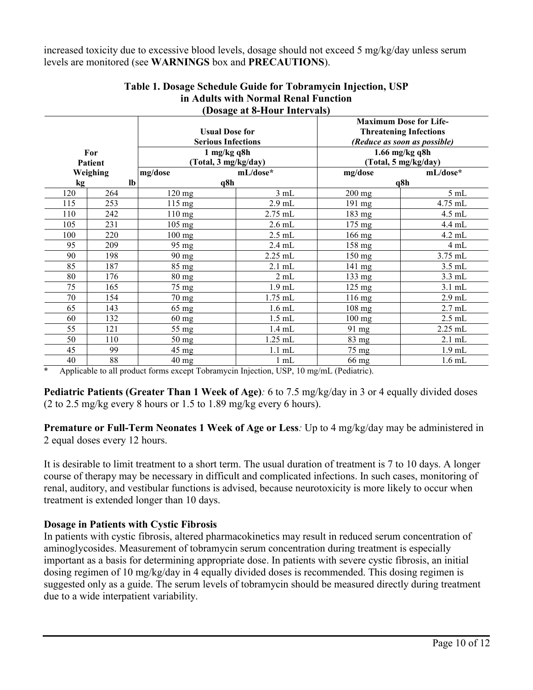increased toxicity due to excessive blood levels, dosage should not exceed 5 mg/kg/day unless serum levels are monitored (see **WARNINGS** box and **PRECAUTIONS**).

| $1.50842$ at 0 110 at 11101 $(415)$ |     |                           |                |                  |                               |  |
|-------------------------------------|-----|---------------------------|----------------|------------------|-------------------------------|--|
|                                     |     |                           |                |                  | <b>Maximum Dose for Life-</b> |  |
|                                     |     | <b>Usual Dose for</b>     |                |                  | <b>Threatening Infections</b> |  |
|                                     |     | <b>Serious Infections</b> |                |                  | (Reduce as soon as possible)  |  |
| For                                 |     | $1$ mg/kg q8h             |                |                  | $1.66$ mg/kg q8h              |  |
| Patient                             |     | (Total, 3 mg/kg/day)      |                |                  | (Total, 5 mg/kg/day)          |  |
| Weighing                            |     | mg/dose                   | mL/dose*       | mg/dose          | mL/dose*                      |  |
| $\mathbf{I}$<br>kg                  |     | q8h                       |                |                  | q8h                           |  |
| 120                                 | 264 | 120 mg                    | 3 mL           | 200 mg           | 5mL                           |  |
| 115                                 | 253 | 115 mg                    | $2.9$ mL       | 191 mg           | 4.75 mL                       |  |
| 110                                 | 242 | $110$ mg                  | $2.75$ mL      | 183 mg           | 4.5 mL                        |  |
| 105                                 | 231 | $105$ mg                  | $2.6$ mL       | $175 \text{ mg}$ | 4.4 mL                        |  |
| 100                                 | 220 | $100$ mg                  | $2.5$ mL       | $166 \text{ mg}$ | $4.2$ mL                      |  |
| 95                                  | 209 | $95 \text{ mg}$           | $2.4$ mL       | 158 mg           | 4 mL                          |  |
| 90                                  | 198 | $90 \text{ mg}$           | $2.25$ mL      | $150 \text{ mg}$ | 3.75 mL                       |  |
| 85                                  | 187 | 85 mg                     | $2.1$ mL       | $141$ mg         | $3.5$ mL                      |  |
| 80                                  | 176 | $80 \text{ mg}$           | 2 mL           | $133 \text{ mg}$ | $3.3$ mL                      |  |
| 75                                  | 165 | 75 mg                     | $1.9$ mL       | $125 \text{ mg}$ | $3.1$ mL                      |  |
| 70                                  | 154 | $70 \text{ mg}$           | $1.75$ mL      | $116$ mg         | $2.9$ mL                      |  |
| 65                                  | 143 | 65 mg                     | $1.6$ mL       | 108 mg           | $2.7$ mL                      |  |
| 60                                  | 132 | $60 \text{ mg}$           | $1.5$ mL       | $100$ mg         | $2.5$ mL                      |  |
| 55                                  | 121 | 55 mg                     | $1.4$ mL       | 91 mg            | 2.25 mL                       |  |
| 50                                  | 110 | 50 mg                     | $1.25$ mL      | $83 \text{ mg}$  | $2.1$ mL                      |  |
| 45                                  | 99  | $45 \text{ mg}$           | $1.1$ mL       | $75 \text{ mg}$  | $1.9$ mL                      |  |
| 40                                  | 88  | $40 \text{ mg}$           | $1 \text{ mL}$ | 66 mg            | $1.6$ mL                      |  |

#### **Table 1. Dosage Schedule Guide for Tobramycin Injection, USP in Adults with Normal Renal Function (Dosage at 8-Hour Intervals)**

Applicable to all product forms except Tobramycin Injection, USP, 10 mg/mL (Pediatric).

**Pediatric Patients (Greater Than 1 Week of Age)***:* 6 to 7.5 mg/kg/day in 3 or 4 equally divided doses (2 to 2.5 mg/kg every 8 hours or 1.5 to 1.89 mg/kg every 6 hours).

**Premature or Full-Term Neonates 1 Week of Age or Less***:* Up to 4 mg/kg/day may be administered in 2 equal doses every 12 hours.

It is desirable to limit treatment to a short term. The usual duration of treatment is 7 to 10 days. A longer course of therapy may be necessary in difficult and complicated infections. In such cases, monitoring of renal, auditory, and vestibular functions is advised, because neurotoxicity is more likely to occur when treatment is extended longer than 10 days.

## **Dosage in Patients with Cystic Fibrosis**

In patients with cystic fibrosis, altered pharmacokinetics may result in reduced serum concentration of aminoglycosides. Measurement of tobramycin serum concentration during treatment is especially important as a basis for determining appropriate dose. In patients with severe cystic fibrosis, an initial dosing regimen of 10 mg/kg/day in 4 equally divided doses is recommended. This dosing regimen is suggested only as a guide. The serum levels of tobramycin should be measured directly during treatment due to a wide interpatient variability.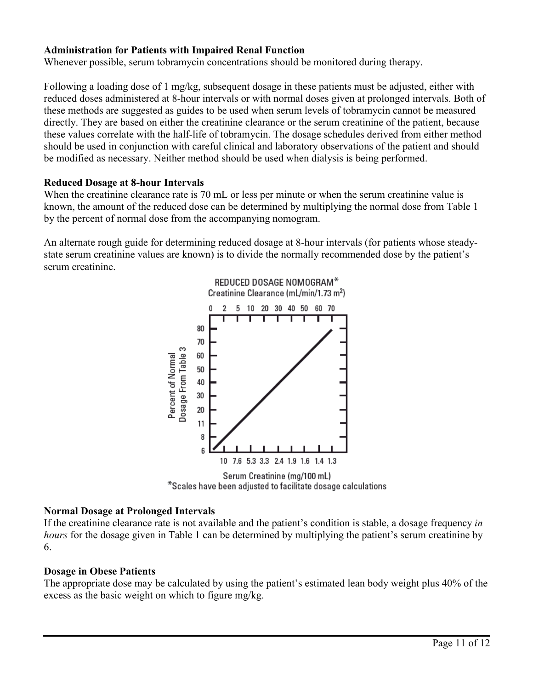## **Administration for Patients with Impaired Renal Function**

Whenever possible, serum tobramycin concentrations should be monitored during therapy.

Following a loading dose of 1 mg/kg, subsequent dosage in these patients must be adjusted, either with reduced doses administered at 8-hour intervals or with normal doses given at prolonged intervals. Both of these methods are suggested as guides to be used when serum levels of tobramycin cannot be measured directly. They are based on either the creatinine clearance or the serum creatinine of the patient, because these values correlate with the half-life of tobramycin. The dosage schedules derived from either method should be used in conjunction with careful clinical and laboratory observations of the patient and should be modified as necessary. Neither method should be used when dialysis is being performed.

### **Reduced Dosage at 8-hour Intervals**

When the creatinine clearance rate is 70 mL or less per minute or when the serum creatinine value is known, the amount of the reduced dose can be determined by multiplying the normal dose from Table 1 by the percent of normal dose from the accompanying nomogram.

An alternate rough guide for determining reduced dosage at 8-hour intervals (for patients whose steadystate serum creatinine values are known) is to divide the normally recommended dose by the patient's serum creatinine.



### **Normal Dosage at Prolonged Intervals**

If the creatinine clearance rate is not available and the patient's condition is stable, a dosage frequency *in hours* for the dosage given in Table 1 can be determined by multiplying the patient's serum creatinine by 6.

## **Dosage in Obese Patients**

The appropriate dose may be calculated by using the patient's estimated lean body weight plus 40% of the excess as the basic weight on which to figure mg/kg.